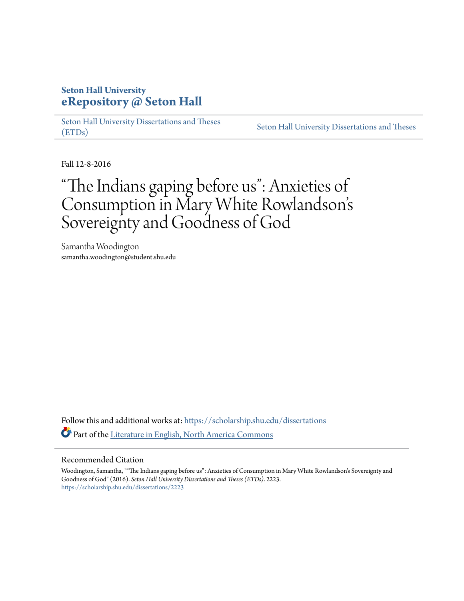# **Seton Hall University [eRepository @ Seton Hall](https://scholarship.shu.edu?utm_source=scholarship.shu.edu%2Fdissertations%2F2223&utm_medium=PDF&utm_campaign=PDFCoverPages)**

[Seton Hall University Dissertations and Theses](https://scholarship.shu.edu/dissertations?utm_source=scholarship.shu.edu%2Fdissertations%2F2223&utm_medium=PDF&utm_campaign=PDFCoverPages) [\(ETDs\)](https://scholarship.shu.edu/dissertations?utm_source=scholarship.shu.edu%2Fdissertations%2F2223&utm_medium=PDF&utm_campaign=PDFCoverPages)

[Seton Hall University Dissertations and Theses](https://scholarship.shu.edu/etds?utm_source=scholarship.shu.edu%2Fdissertations%2F2223&utm_medium=PDF&utm_campaign=PDFCoverPages)

Fall 12-8-2016

# "The Indians gaping before us": Anxieties of Consumption in Mary White Rowlandson s י<br>'. Sovereignty and Goodness of God

Samantha Woodington samantha.woodington@student.shu.edu

Follow this and additional works at: [https://scholarship.shu.edu/dissertations](https://scholarship.shu.edu/dissertations?utm_source=scholarship.shu.edu%2Fdissertations%2F2223&utm_medium=PDF&utm_campaign=PDFCoverPages) Part of the [Literature in English, North America Commons](http://network.bepress.com/hgg/discipline/458?utm_source=scholarship.shu.edu%2Fdissertations%2F2223&utm_medium=PDF&utm_campaign=PDFCoverPages)

### Recommended Citation

Woodington, Samantha, ""The Indians gaping before us": Anxieties of Consumption in Mary White Rowlandson's Sovereignty and Goodness of God" (2016). *Seton Hall University Dissertations and Theses (ETDs)*. 2223. [https://scholarship.shu.edu/dissertations/2223](https://scholarship.shu.edu/dissertations/2223?utm_source=scholarship.shu.edu%2Fdissertations%2F2223&utm_medium=PDF&utm_campaign=PDFCoverPages)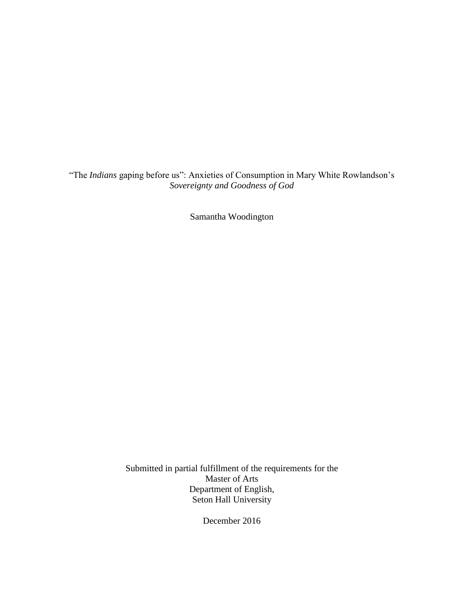"The *Indians* gaping before us": Anxieties of Consumption in Mary White Rowlandson's *Sovereignty and Goodness of God*

Samantha Woodington

Submitted in partial fulfillment of the requirements for the Master of Arts Department of English, Seton Hall University

December 2016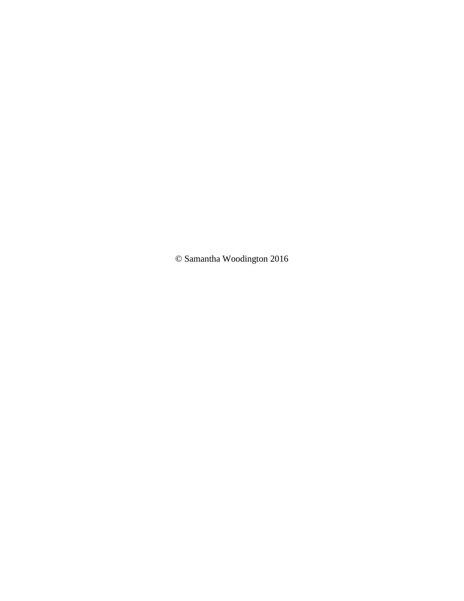© Samantha Woodington 2016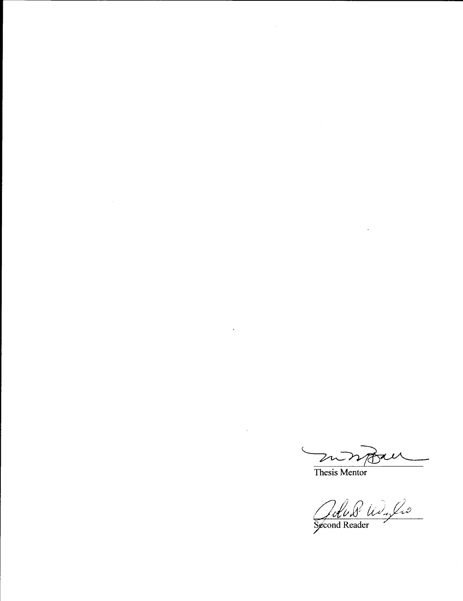mmor  $\mathbb{R}^2$ 

Thesis Mentor

 $\hat{\mathbf{v}}$ 

Julu 8 W. G.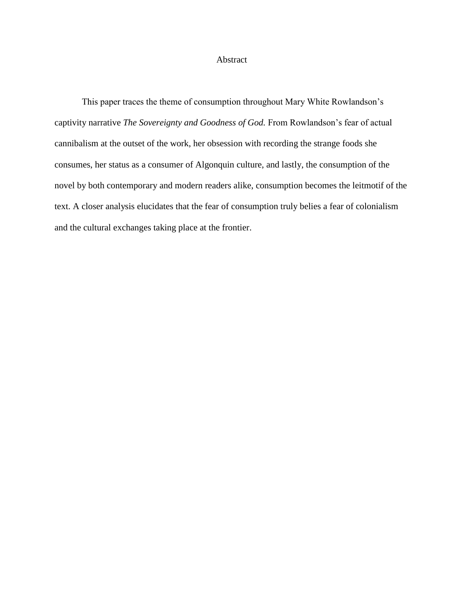# Abstract

This paper traces the theme of consumption throughout Mary White Rowlandson's captivity narrative *The Sovereignty and Goodness of God.* From Rowlandson's fear of actual cannibalism at the outset of the work, her obsession with recording the strange foods she consumes, her status as a consumer of Algonquin culture, and lastly, the consumption of the novel by both contemporary and modern readers alike, consumption becomes the leitmotif of the text. A closer analysis elucidates that the fear of consumption truly belies a fear of colonialism and the cultural exchanges taking place at the frontier.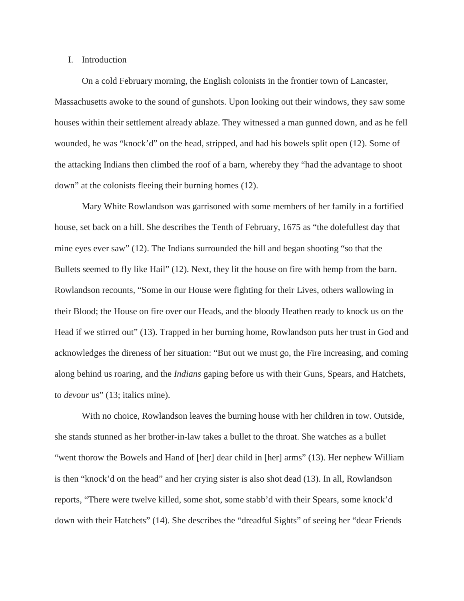#### I. Introduction

On a cold February morning, the English colonists in the frontier town of Lancaster, Massachusetts awoke to the sound of gunshots. Upon looking out their windows, they saw some houses within their settlement already ablaze. They witnessed a man gunned down, and as he fell wounded, he was "knock'd" on the head, stripped, and had his bowels split open (12). Some of the attacking Indians then climbed the roof of a barn, whereby they "had the advantage to shoot down" at the colonists fleeing their burning homes (12).

Mary White Rowlandson was garrisoned with some members of her family in a fortified house, set back on a hill. She describes the Tenth of February, 1675 as "the dolefullest day that mine eyes ever saw" (12). The Indians surrounded the hill and began shooting "so that the Bullets seemed to fly like Hail" (12). Next, they lit the house on fire with hemp from the barn. Rowlandson recounts, "Some in our House were fighting for their Lives, others wallowing in their Blood; the House on fire over our Heads, and the bloody Heathen ready to knock us on the Head if we stirred out" (13). Trapped in her burning home, Rowlandson puts her trust in God and acknowledges the direness of her situation: "But out we must go, the Fire increasing, and coming along behind us roaring, and the *Indians* gaping before us with their Guns, Spears, and Hatchets, to *devour* us" (13; italics mine).

With no choice, Rowlandson leaves the burning house with her children in tow. Outside, she stands stunned as her brother-in-law takes a bullet to the throat. She watches as a bullet "went thorow the Bowels and Hand of [her] dear child in [her] arms" (13). Her nephew William is then "knock'd on the head" and her crying sister is also shot dead (13). In all, Rowlandson reports, "There were twelve killed, some shot, some stabb'd with their Spears, some knock'd down with their Hatchets" (14). She describes the "dreadful Sights" of seeing her "dear Friends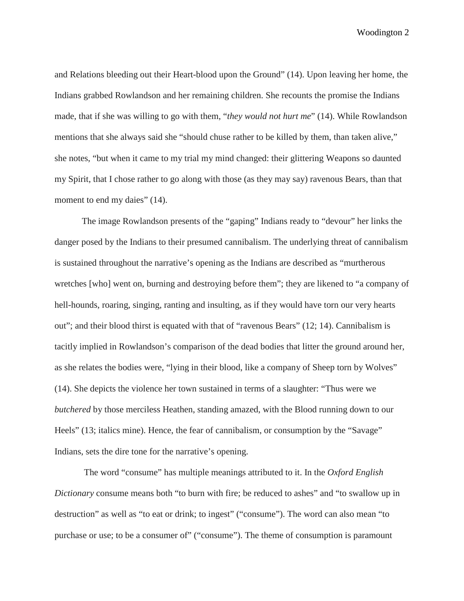and Relations bleeding out their Heart-blood upon the Ground" (14). Upon leaving her home, the Indians grabbed Rowlandson and her remaining children. She recounts the promise the Indians made, that if she was willing to go with them, "*they would not hurt me*" (14). While Rowlandson mentions that she always said she "should chuse rather to be killed by them, than taken alive," she notes, "but when it came to my trial my mind changed: their glittering Weapons so daunted my Spirit, that I chose rather to go along with those (as they may say) ravenous Bears, than that moment to end my daies" (14).

The image Rowlandson presents of the "gaping" Indians ready to "devour" her links the danger posed by the Indians to their presumed cannibalism. The underlying threat of cannibalism is sustained throughout the narrative's opening as the Indians are described as "murtherous wretches [who] went on, burning and destroying before them"; they are likened to "a company of hell-hounds, roaring, singing, ranting and insulting, as if they would have torn our very hearts out"; and their blood thirst is equated with that of "ravenous Bears" (12; 14). Cannibalism is tacitly implied in Rowlandson's comparison of the dead bodies that litter the ground around her, as she relates the bodies were, "lying in their blood, like a company of Sheep torn by Wolves" (14). She depicts the violence her town sustained in terms of a slaughter: "Thus were we *butchered* by those merciless Heathen, standing amazed, with the Blood running down to our Heels" (13; italics mine). Hence, the fear of cannibalism, or consumption by the "Savage" Indians, sets the dire tone for the narrative's opening.

The word "consume" has multiple meanings attributed to it. In the *Oxford English Dictionary* consume means both "to burn with fire; be reduced to ashes" and "to swallow up in destruction" as well as "to eat or drink; to ingest" ("consume"). The word can also mean "to purchase or use; to be a consumer of" ("consume"). The theme of consumption is paramount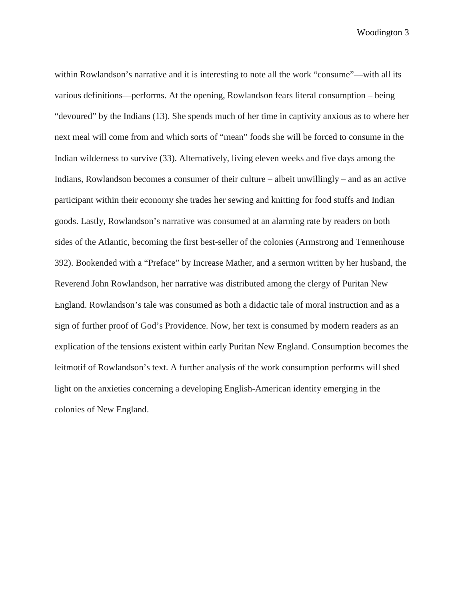within Rowlandson's narrative and it is interesting to note all the work "consume"—with all its various definitions—performs. At the opening, Rowlandson fears literal consumption – being "devoured" by the Indians (13). She spends much of her time in captivity anxious as to where her next meal will come from and which sorts of "mean" foods she will be forced to consume in the Indian wilderness to survive (33). Alternatively, living eleven weeks and five days among the Indians, Rowlandson becomes a consumer of their culture – albeit unwillingly – and as an active participant within their economy she trades her sewing and knitting for food stuffs and Indian goods. Lastly, Rowlandson's narrative was consumed at an alarming rate by readers on both sides of the Atlantic, becoming the first best-seller of the colonies (Armstrong and Tennenhouse 392). Bookended with a "Preface" by Increase Mather, and a sermon written by her husband, the Reverend John Rowlandson, her narrative was distributed among the clergy of Puritan New England. Rowlandson's tale was consumed as both a didactic tale of moral instruction and as a sign of further proof of God's Providence. Now, her text is consumed by modern readers as an explication of the tensions existent within early Puritan New England. Consumption becomes the leitmotif of Rowlandson's text. A further analysis of the work consumption performs will shed light on the anxieties concerning a developing English-American identity emerging in the colonies of New England.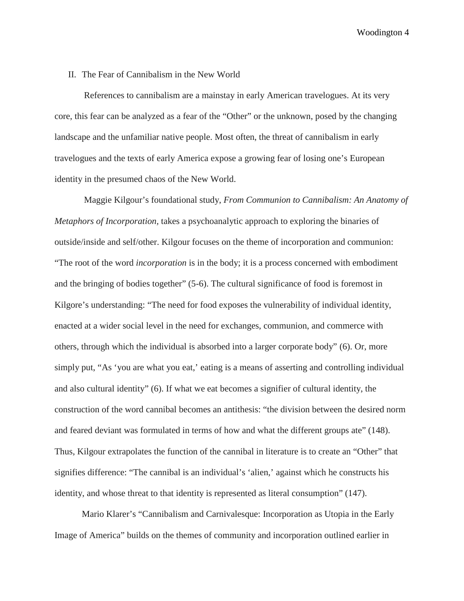#### II. The Fear of Cannibalism in the New World

References to cannibalism are a mainstay in early American travelogues. At its very core, this fear can be analyzed as a fear of the "Other" or the unknown, posed by the changing landscape and the unfamiliar native people. Most often, the threat of cannibalism in early travelogues and the texts of early America expose a growing fear of losing one's European identity in the presumed chaos of the New World.

Maggie Kilgour's foundational study, *From Communion to Cannibalism: An Anatomy of Metaphors of Incorporation,* takes a psychoanalytic approach to exploring the binaries of outside/inside and self/other. Kilgour focuses on the theme of incorporation and communion: "The root of the word *incorporation* is in the body; it is a process concerned with embodiment and the bringing of bodies together" (5-6). The cultural significance of food is foremost in Kilgore's understanding: "The need for food exposes the vulnerability of individual identity, enacted at a wider social level in the need for exchanges, communion, and commerce with others, through which the individual is absorbed into a larger corporate body" (6). Or, more simply put, "As 'you are what you eat,' eating is a means of asserting and controlling individual and also cultural identity" (6). If what we eat becomes a signifier of cultural identity, the construction of the word cannibal becomes an antithesis: "the division between the desired norm and feared deviant was formulated in terms of how and what the different groups ate" (148). Thus, Kilgour extrapolates the function of the cannibal in literature is to create an "Other" that signifies difference: "The cannibal is an individual's 'alien,' against which he constructs his identity, and whose threat to that identity is represented as literal consumption" (147).

Mario Klarer's "Cannibalism and Carnivalesque: Incorporation as Utopia in the Early Image of America" builds on the themes of community and incorporation outlined earlier in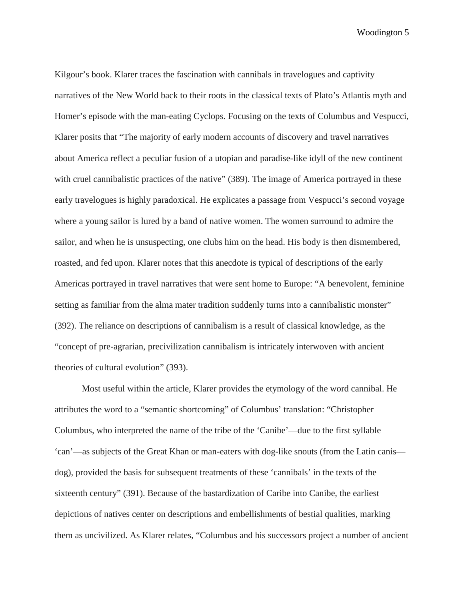Kilgour's book. Klarer traces the fascination with cannibals in travelogues and captivity narratives of the New World back to their roots in the classical texts of Plato's Atlantis myth and Homer's episode with the man-eating Cyclops. Focusing on the texts of Columbus and Vespucci, Klarer posits that "The majority of early modern accounts of discovery and travel narratives about America reflect a peculiar fusion of a utopian and paradise-like idyll of the new continent with cruel cannibalistic practices of the native" (389). The image of America portrayed in these early travelogues is highly paradoxical. He explicates a passage from Vespucci's second voyage where a young sailor is lured by a band of native women. The women surround to admire the sailor, and when he is unsuspecting, one clubs him on the head. His body is then dismembered, roasted, and fed upon. Klarer notes that this anecdote is typical of descriptions of the early Americas portrayed in travel narratives that were sent home to Europe: "A benevolent, feminine setting as familiar from the alma mater tradition suddenly turns into a cannibalistic monster" (392). The reliance on descriptions of cannibalism is a result of classical knowledge, as the "concept of pre-agrarian, precivilization cannibalism is intricately interwoven with ancient theories of cultural evolution" (393).

Most useful within the article, Klarer provides the etymology of the word cannibal. He attributes the word to a "semantic shortcoming" of Columbus' translation: "Christopher Columbus, who interpreted the name of the tribe of the 'Canibe'—due to the first syllable 'can'—as subjects of the Great Khan or man-eaters with dog-like snouts (from the Latin canis dog), provided the basis for subsequent treatments of these 'cannibals' in the texts of the sixteenth century" (391). Because of the bastardization of Caribe into Canibe, the earliest depictions of natives center on descriptions and embellishments of bestial qualities, marking them as uncivilized. As Klarer relates, "Columbus and his successors project a number of ancient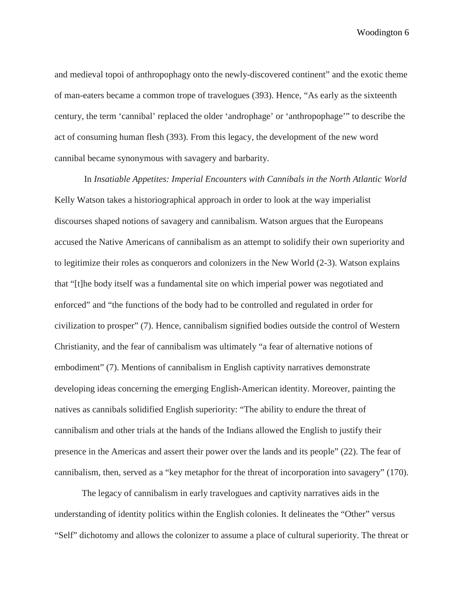and medieval topoi of anthropophagy onto the newly-discovered continent" and the exotic theme of man-eaters became a common trope of travelogues (393). Hence, "As early as the sixteenth century, the term 'cannibal' replaced the older 'androphage' or 'anthropophage'" to describe the act of consuming human flesh (393). From this legacy, the development of the new word cannibal became synonymous with savagery and barbarity.

In *Insatiable Appetites: Imperial Encounters with Cannibals in the North Atlantic World*  Kelly Watson takes a historiographical approach in order to look at the way imperialist discourses shaped notions of savagery and cannibalism. Watson argues that the Europeans accused the Native Americans of cannibalism as an attempt to solidify their own superiority and to legitimize their roles as conquerors and colonizers in the New World (2-3). Watson explains that "[t]he body itself was a fundamental site on which imperial power was negotiated and enforced" and "the functions of the body had to be controlled and regulated in order for civilization to prosper" (7). Hence, cannibalism signified bodies outside the control of Western Christianity, and the fear of cannibalism was ultimately "a fear of alternative notions of embodiment" (7). Mentions of cannibalism in English captivity narratives demonstrate developing ideas concerning the emerging English-American identity. Moreover, painting the natives as cannibals solidified English superiority: "The ability to endure the threat of cannibalism and other trials at the hands of the Indians allowed the English to justify their presence in the Americas and assert their power over the lands and its people" (22). The fear of cannibalism, then, served as a "key metaphor for the threat of incorporation into savagery" (170).

The legacy of cannibalism in early travelogues and captivity narratives aids in the understanding of identity politics within the English colonies. It delineates the "Other" versus "Self" dichotomy and allows the colonizer to assume a place of cultural superiority. The threat or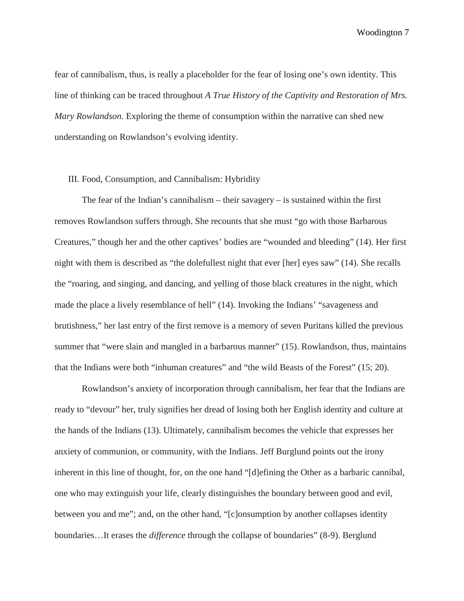fear of cannibalism, thus, is really a placeholder for the fear of losing one's own identity. This line of thinking can be traced throughout *A True History of the Captivity and Restoration of Mrs. Mary Rowlandson.* Exploring the theme of consumption within the narrative can shed new understanding on Rowlandson's evolving identity.

# III. Food, Consumption, and Cannibalism: Hybridity

The fear of the Indian's cannibalism – their savagery – is sustained within the first removes Rowlandson suffers through. She recounts that she must "go with those Barbarous Creatures," though her and the other captives' bodies are "wounded and bleeding" (14). Her first night with them is described as "the dolefullest night that ever [her] eyes saw" (14). She recalls the "roaring, and singing, and dancing, and yelling of those black creatures in the night, which made the place a lively resemblance of hell" (14). Invoking the Indians' "savageness and brutishness," her last entry of the first remove is a memory of seven Puritans killed the previous summer that "were slain and mangled in a barbarous manner" (15). Rowlandson, thus, maintains that the Indians were both "inhuman creatures" and "the wild Beasts of the Forest" (15; 20).

Rowlandson's anxiety of incorporation through cannibalism, her fear that the Indians are ready to "devour" her, truly signifies her dread of losing both her English identity and culture at the hands of the Indians (13). Ultimately, cannibalism becomes the vehicle that expresses her anxiety of communion, or community, with the Indians. Jeff Burglund points out the irony inherent in this line of thought, for, on the one hand "[d]efining the Other as a barbaric cannibal, one who may extinguish your life, clearly distinguishes the boundary between good and evil, between you and me"; and, on the other hand, "[c]onsumption by another collapses identity boundaries…It erases the *difference* through the collapse of boundaries" (8-9). Berglund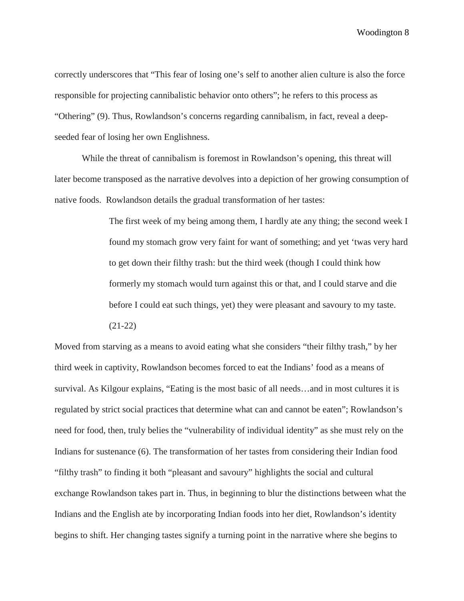correctly underscores that "This fear of losing one's self to another alien culture is also the force responsible for projecting cannibalistic behavior onto others"; he refers to this process as "Othering" (9). Thus, Rowlandson's concerns regarding cannibalism, in fact, reveal a deepseeded fear of losing her own Englishness.

While the threat of cannibalism is foremost in Rowlandson's opening, this threat will later become transposed as the narrative devolves into a depiction of her growing consumption of native foods. Rowlandson details the gradual transformation of her tastes:

> The first week of my being among them, I hardly ate any thing; the second week I found my stomach grow very faint for want of something; and yet 'twas very hard to get down their filthy trash: but the third week (though I could think how formerly my stomach would turn against this or that, and I could starve and die before I could eat such things, yet) they were pleasant and savoury to my taste. (21-22)

Moved from starving as a means to avoid eating what she considers "their filthy trash," by her third week in captivity, Rowlandson becomes forced to eat the Indians' food as a means of survival. As Kilgour explains, "Eating is the most basic of all needs…and in most cultures it is regulated by strict social practices that determine what can and cannot be eaten"; Rowlandson's need for food, then, truly belies the "vulnerability of individual identity" as she must rely on the Indians for sustenance (6). The transformation of her tastes from considering their Indian food "filthy trash" to finding it both "pleasant and savoury" highlights the social and cultural exchange Rowlandson takes part in. Thus, in beginning to blur the distinctions between what the Indians and the English ate by incorporating Indian foods into her diet, Rowlandson's identity begins to shift. Her changing tastes signify a turning point in the narrative where she begins to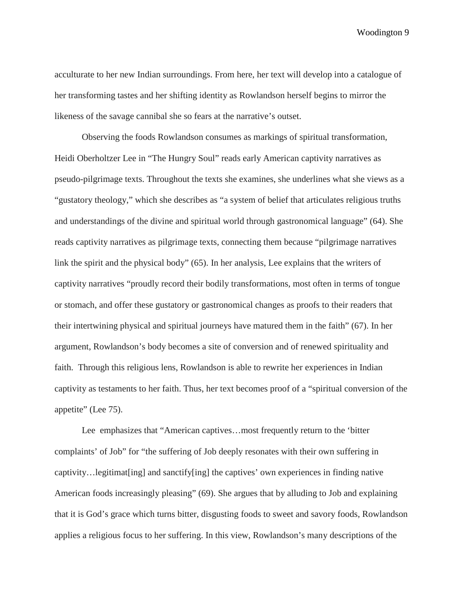acculturate to her new Indian surroundings. From here, her text will develop into a catalogue of her transforming tastes and her shifting identity as Rowlandson herself begins to mirror the likeness of the savage cannibal she so fears at the narrative's outset.

Observing the foods Rowlandson consumes as markings of spiritual transformation, Heidi Oberholtzer Lee in "The Hungry Soul" reads early American captivity narratives as pseudo-pilgrimage texts. Throughout the texts she examines, she underlines what she views as a "gustatory theology," which she describes as "a system of belief that articulates religious truths and understandings of the divine and spiritual world through gastronomical language" (64). She reads captivity narratives as pilgrimage texts, connecting them because "pilgrimage narratives link the spirit and the physical body" (65). In her analysis, Lee explains that the writers of captivity narratives "proudly record their bodily transformations, most often in terms of tongue or stomach, and offer these gustatory or gastronomical changes as proofs to their readers that their intertwining physical and spiritual journeys have matured them in the faith" (67). In her argument, Rowlandson's body becomes a site of conversion and of renewed spirituality and faith. Through this religious lens, Rowlandson is able to rewrite her experiences in Indian captivity as testaments to her faith. Thus, her text becomes proof of a "spiritual conversion of the appetite" (Lee 75).

Lee emphasizes that "American captives…most frequently return to the 'bitter complaints' of Job" for "the suffering of Job deeply resonates with their own suffering in captivity…legitimat[ing] and sanctify[ing] the captives' own experiences in finding native American foods increasingly pleasing" (69). She argues that by alluding to Job and explaining that it is God's grace which turns bitter, disgusting foods to sweet and savory foods, Rowlandson applies a religious focus to her suffering. In this view, Rowlandson's many descriptions of the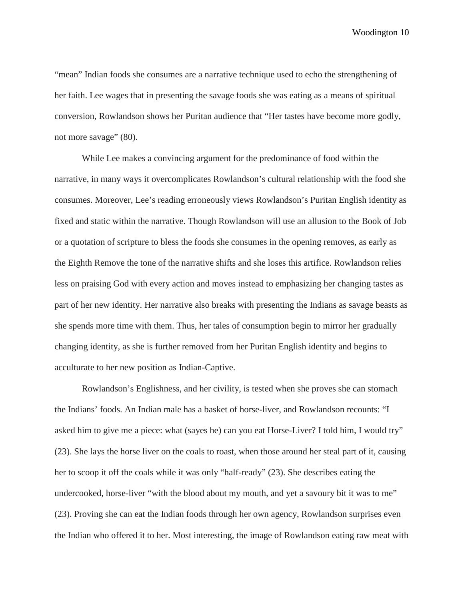"mean" Indian foods she consumes are a narrative technique used to echo the strengthening of her faith. Lee wages that in presenting the savage foods she was eating as a means of spiritual conversion, Rowlandson shows her Puritan audience that "Her tastes have become more godly, not more savage" (80).

While Lee makes a convincing argument for the predominance of food within the narrative, in many ways it overcomplicates Rowlandson's cultural relationship with the food she consumes. Moreover, Lee's reading erroneously views Rowlandson's Puritan English identity as fixed and static within the narrative. Though Rowlandson will use an allusion to the Book of Job or a quotation of scripture to bless the foods she consumes in the opening removes, as early as the Eighth Remove the tone of the narrative shifts and she loses this artifice. Rowlandson relies less on praising God with every action and moves instead to emphasizing her changing tastes as part of her new identity. Her narrative also breaks with presenting the Indians as savage beasts as she spends more time with them. Thus, her tales of consumption begin to mirror her gradually changing identity, as she is further removed from her Puritan English identity and begins to acculturate to her new position as Indian-Captive.

Rowlandson's Englishness, and her civility, is tested when she proves she can stomach the Indians' foods. An Indian male has a basket of horse-liver, and Rowlandson recounts: "I asked him to give me a piece: what (sayes he) can you eat Horse-Liver? I told him, I would try" (23). She lays the horse liver on the coals to roast, when those around her steal part of it, causing her to scoop it off the coals while it was only "half-ready" (23). She describes eating the undercooked, horse-liver "with the blood about my mouth, and yet a savoury bit it was to me" (23). Proving she can eat the Indian foods through her own agency, Rowlandson surprises even the Indian who offered it to her. Most interesting, the image of Rowlandson eating raw meat with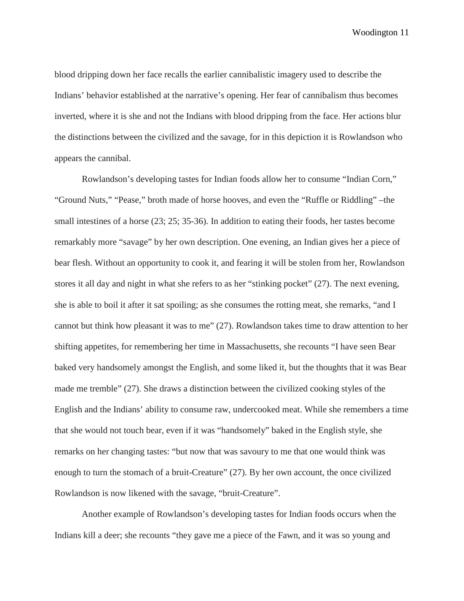blood dripping down her face recalls the earlier cannibalistic imagery used to describe the Indians' behavior established at the narrative's opening. Her fear of cannibalism thus becomes inverted, where it is she and not the Indians with blood dripping from the face. Her actions blur the distinctions between the civilized and the savage, for in this depiction it is Rowlandson who appears the cannibal.

Rowlandson's developing tastes for Indian foods allow her to consume "Indian Corn," "Ground Nuts," "Pease," broth made of horse hooves, and even the "Ruffle or Riddling" –the small intestines of a horse (23; 25; 35-36). In addition to eating their foods, her tastes become remarkably more "savage" by her own description. One evening, an Indian gives her a piece of bear flesh. Without an opportunity to cook it, and fearing it will be stolen from her, Rowlandson stores it all day and night in what she refers to as her "stinking pocket" (27). The next evening, she is able to boil it after it sat spoiling; as she consumes the rotting meat, she remarks, "and I cannot but think how pleasant it was to me" (27). Rowlandson takes time to draw attention to her shifting appetites, for remembering her time in Massachusetts, she recounts "I have seen Bear baked very handsomely amongst the English, and some liked it, but the thoughts that it was Bear made me tremble" (27). She draws a distinction between the civilized cooking styles of the English and the Indians' ability to consume raw, undercooked meat. While she remembers a time that she would not touch bear, even if it was "handsomely" baked in the English style, she remarks on her changing tastes: "but now that was savoury to me that one would think was enough to turn the stomach of a bruit-Creature" (27). By her own account, the once civilized Rowlandson is now likened with the savage, "bruit-Creature".

Another example of Rowlandson's developing tastes for Indian foods occurs when the Indians kill a deer; she recounts "they gave me a piece of the Fawn, and it was so young and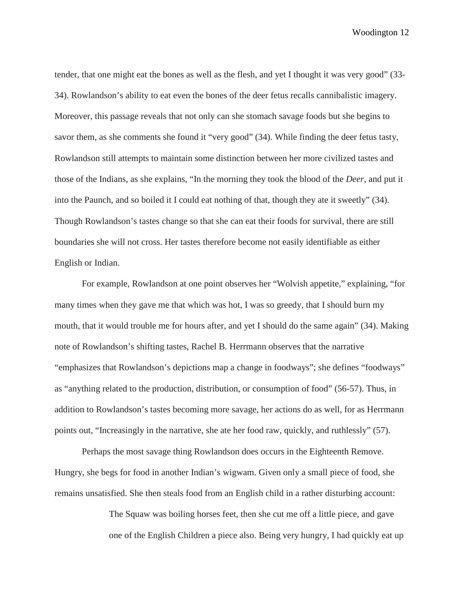tender, that one might eat the bones as well as the flesh, and yet I thought it was very good" (33- 34). Rowlandson's ability to eat even the bones of the deer fetus recalls cannibalistic imagery. Moreover, this passage reveals that not only can she stomach savage foods but she begins to savor them, as she comments she found it "very good" (34). While finding the deer fetus tasty, Rowlandson still attempts to maintain some distinction between her more civilized tastes and those of the Indians, as she explains, "In the morning they took the blood of the *Deer*, and put it into the Paunch, and so boiled it I could eat nothing of that, though they ate it sweetly" (34). Though Rowlandson's tastes change so that she can eat their foods for survival, there are still boundaries she will not cross. Her tastes therefore become not easily identifiable as either English or Indian.

For example, Rowlandson at one point observes her "Wolvish appetite," explaining, "for many times when they gave me that which was hot, I was so greedy, that I should burn my mouth, that it would trouble me for hours after, and yet I should do the same again" (34). Making note of Rowlandson's shifting tastes, Rachel B. Herrmann observes that the narrative "emphasizes that Rowlandson's depictions map a change in foodways"; she defines "foodways" as "anything related to the production, distribution, or consumption of food" (56-57). Thus, in addition to Rowlandson's tastes becoming more savage, her actions do as well, for as Herrmann points out, "Increasingly in the narrative, she ate her food raw, quickly, and ruthlessly" (57).

Perhaps the most savage thing Rowlandson does occurs in the Eighteenth Remove. Hungry, she begs for food in another Indian's wigwam. Given only a small piece of food, she remains unsatisfied. She then steals food from an English child in a rather disturbing account:

> The Squaw was boiling horses feet, then she cut me off a little piece, and gave one of the English Children a piece also. Being very hungry, I had quickly eat up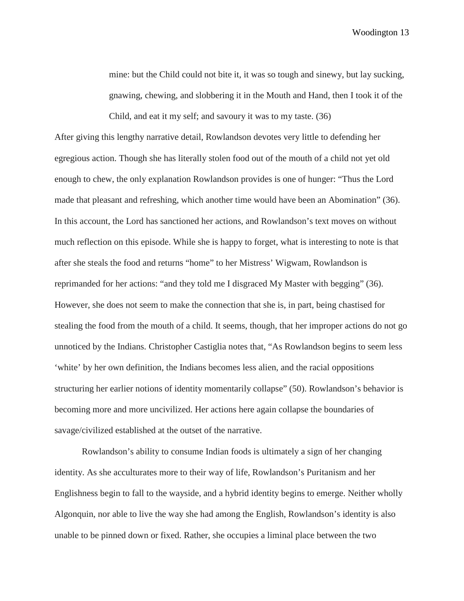mine: but the Child could not bite it, it was so tough and sinewy, but lay sucking, gnawing, chewing, and slobbering it in the Mouth and Hand, then I took it of the Child, and eat it my self; and savoury it was to my taste. (36)

After giving this lengthy narrative detail, Rowlandson devotes very little to defending her egregious action. Though she has literally stolen food out of the mouth of a child not yet old enough to chew, the only explanation Rowlandson provides is one of hunger: "Thus the Lord made that pleasant and refreshing, which another time would have been an Abomination" (36). In this account, the Lord has sanctioned her actions, and Rowlandson's text moves on without much reflection on this episode. While she is happy to forget, what is interesting to note is that after she steals the food and returns "home" to her Mistress' Wigwam, Rowlandson is reprimanded for her actions: "and they told me I disgraced My Master with begging" (36). However, she does not seem to make the connection that she is, in part, being chastised for stealing the food from the mouth of a child. It seems, though, that her improper actions do not go unnoticed by the Indians. Christopher Castiglia notes that, "As Rowlandson begins to seem less 'white' by her own definition, the Indians becomes less alien, and the racial oppositions structuring her earlier notions of identity momentarily collapse" (50). Rowlandson's behavior is becoming more and more uncivilized. Her actions here again collapse the boundaries of savage/civilized established at the outset of the narrative.

Rowlandson's ability to consume Indian foods is ultimately a sign of her changing identity. As she acculturates more to their way of life, Rowlandson's Puritanism and her Englishness begin to fall to the wayside, and a hybrid identity begins to emerge. Neither wholly Algonquin, nor able to live the way she had among the English, Rowlandson's identity is also unable to be pinned down or fixed. Rather, she occupies a liminal place between the two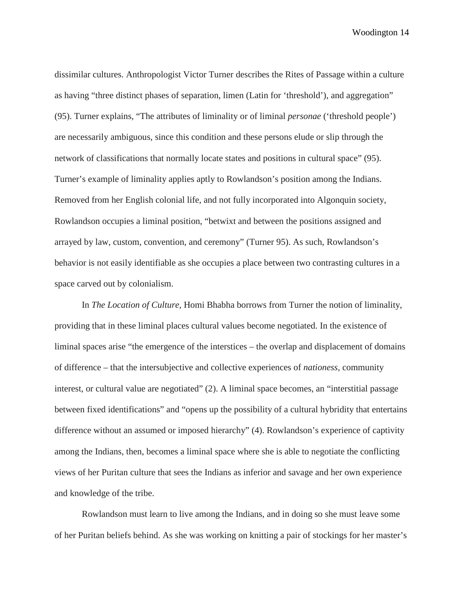dissimilar cultures. Anthropologist Victor Turner describes the Rites of Passage within a culture as having "three distinct phases of separation, limen (Latin for 'threshold'), and aggregation" (95). Turner explains, "The attributes of liminality or of liminal *personae* ('threshold people') are necessarily ambiguous, since this condition and these persons elude or slip through the network of classifications that normally locate states and positions in cultural space" (95). Turner's example of liminality applies aptly to Rowlandson's position among the Indians. Removed from her English colonial life, and not fully incorporated into Algonquin society, Rowlandson occupies a liminal position, "betwixt and between the positions assigned and arrayed by law, custom, convention, and ceremony" (Turner 95). As such, Rowlandson's behavior is not easily identifiable as she occupies a place between two contrasting cultures in a space carved out by colonialism.

In *The Location of Culture,* Homi Bhabha borrows from Turner the notion of liminality, providing that in these liminal places cultural values become negotiated. In the existence of liminal spaces arise "the emergence of the interstices – the overlap and displacement of domains of difference – that the intersubjective and collective experiences of *nationess,* community interest, or cultural value are negotiated" (2). A liminal space becomes, an "interstitial passage between fixed identifications" and "opens up the possibility of a cultural hybridity that entertains difference without an assumed or imposed hierarchy" (4). Rowlandson's experience of captivity among the Indians, then, becomes a liminal space where she is able to negotiate the conflicting views of her Puritan culture that sees the Indians as inferior and savage and her own experience and knowledge of the tribe.

Rowlandson must learn to live among the Indians, and in doing so she must leave some of her Puritan beliefs behind. As she was working on knitting a pair of stockings for her master's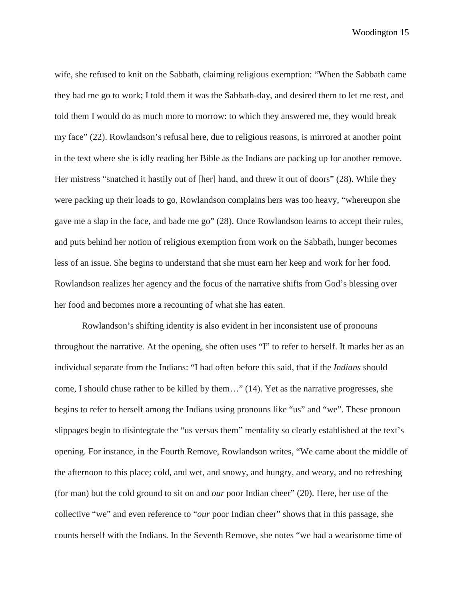wife, she refused to knit on the Sabbath, claiming religious exemption: "When the Sabbath came they bad me go to work; I told them it was the Sabbath-day, and desired them to let me rest, and told them I would do as much more to morrow: to which they answered me, they would break my face" (22). Rowlandson's refusal here, due to religious reasons, is mirrored at another point in the text where she is idly reading her Bible as the Indians are packing up for another remove. Her mistress "snatched it hastily out of [her] hand, and threw it out of doors" (28). While they were packing up their loads to go, Rowlandson complains hers was too heavy, "whereupon she gave me a slap in the face, and bade me go" (28). Once Rowlandson learns to accept their rules, and puts behind her notion of religious exemption from work on the Sabbath, hunger becomes less of an issue. She begins to understand that she must earn her keep and work for her food. Rowlandson realizes her agency and the focus of the narrative shifts from God's blessing over her food and becomes more a recounting of what she has eaten.

Rowlandson's shifting identity is also evident in her inconsistent use of pronouns throughout the narrative. At the opening, she often uses "I" to refer to herself. It marks her as an individual separate from the Indians: "I had often before this said, that if the *Indians* should come, I should chuse rather to be killed by them…" (14). Yet as the narrative progresses, she begins to refer to herself among the Indians using pronouns like "us" and "we". These pronoun slippages begin to disintegrate the "us versus them" mentality so clearly established at the text's opening. For instance, in the Fourth Remove, Rowlandson writes, "We came about the middle of the afternoon to this place; cold, and wet, and snowy, and hungry, and weary, and no refreshing (for man) but the cold ground to sit on and *our* poor Indian cheer" (20). Here, her use of the collective "we" and even reference to "*our* poor Indian cheer" shows that in this passage, she counts herself with the Indians. In the Seventh Remove, she notes "we had a wearisome time of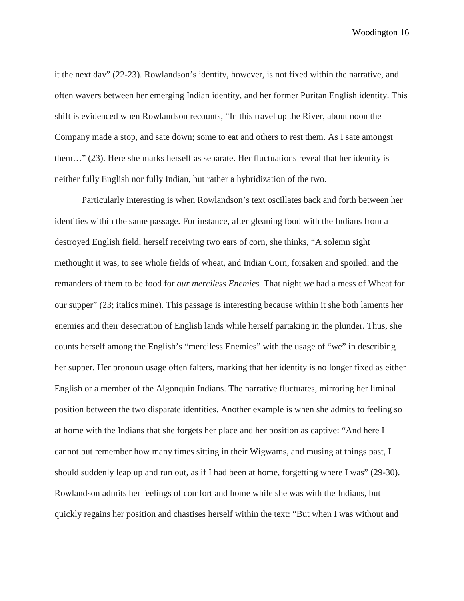it the next day" (22-23). Rowlandson's identity, however, is not fixed within the narrative, and often wavers between her emerging Indian identity, and her former Puritan English identity. This shift is evidenced when Rowlandson recounts, "In this travel up the River, about noon the Company made a stop, and sate down; some to eat and others to rest them. As I sate amongst them…" (23). Here she marks herself as separate. Her fluctuations reveal that her identity is neither fully English nor fully Indian, but rather a hybridization of the two.

Particularly interesting is when Rowlandson's text oscillates back and forth between her identities within the same passage. For instance, after gleaning food with the Indians from a destroyed English field, herself receiving two ears of corn, she thinks, "A solemn sight methought it was, to see whole fields of wheat, and Indian Corn, forsaken and spoiled: and the remanders of them to be food for *our merciless Enemies.* That night *we* had a mess of Wheat for our supper" (23; italics mine). This passage is interesting because within it she both laments her enemies and their desecration of English lands while herself partaking in the plunder. Thus, she counts herself among the English's "merciless Enemies" with the usage of "we" in describing her supper. Her pronoun usage often falters, marking that her identity is no longer fixed as either English or a member of the Algonquin Indians. The narrative fluctuates, mirroring her liminal position between the two disparate identities. Another example is when she admits to feeling so at home with the Indians that she forgets her place and her position as captive: "And here I cannot but remember how many times sitting in their Wigwams, and musing at things past, I should suddenly leap up and run out, as if I had been at home, forgetting where I was" (29-30). Rowlandson admits her feelings of comfort and home while she was with the Indians, but quickly regains her position and chastises herself within the text: "But when I was without and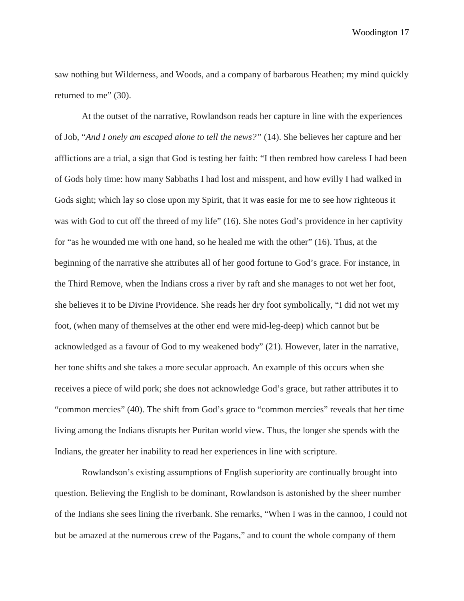saw nothing but Wilderness, and Woods, and a company of barbarous Heathen; my mind quickly returned to me" (30).

At the outset of the narrative, Rowlandson reads her capture in line with the experiences of Job, "*And I onely am escaped alone to tell the news?"* (14). She believes her capture and her afflictions are a trial, a sign that God is testing her faith: "I then rembred how careless I had been of Gods holy time: how many Sabbaths I had lost and misspent, and how evilly I had walked in Gods sight; which lay so close upon my Spirit, that it was easie for me to see how righteous it was with God to cut off the threed of my life" (16). She notes God's providence in her captivity for "as he wounded me with one hand, so he healed me with the other" (16). Thus, at the beginning of the narrative she attributes all of her good fortune to God's grace. For instance, in the Third Remove, when the Indians cross a river by raft and she manages to not wet her foot, she believes it to be Divine Providence. She reads her dry foot symbolically, "I did not wet my foot, (when many of themselves at the other end were mid-leg-deep) which cannot but be acknowledged as a favour of God to my weakened body" (21). However, later in the narrative, her tone shifts and she takes a more secular approach. An example of this occurs when she receives a piece of wild pork; she does not acknowledge God's grace, but rather attributes it to "common mercies" (40). The shift from God's grace to "common mercies" reveals that her time living among the Indians disrupts her Puritan world view. Thus, the longer she spends with the Indians, the greater her inability to read her experiences in line with scripture.

Rowlandson's existing assumptions of English superiority are continually brought into question. Believing the English to be dominant, Rowlandson is astonished by the sheer number of the Indians she sees lining the riverbank. She remarks, "When I was in the cannoo, I could not but be amazed at the numerous crew of the Pagans," and to count the whole company of them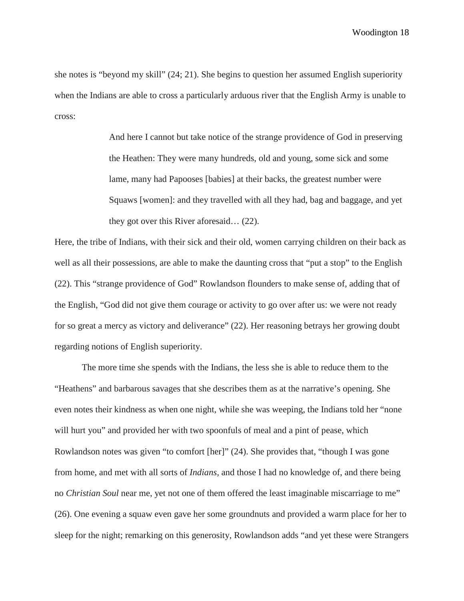she notes is "beyond my skill" (24; 21). She begins to question her assumed English superiority when the Indians are able to cross a particularly arduous river that the English Army is unable to cross:

> And here I cannot but take notice of the strange providence of God in preserving the Heathen: They were many hundreds, old and young, some sick and some lame, many had Papooses [babies] at their backs, the greatest number were Squaws [women]: and they travelled with all they had, bag and baggage, and yet they got over this River aforesaid… (22).

Here, the tribe of Indians, with their sick and their old, women carrying children on their back as well as all their possessions, are able to make the daunting cross that "put a stop" to the English (22). This "strange providence of God" Rowlandson flounders to make sense of, adding that of the English, "God did not give them courage or activity to go over after us: we were not ready for so great a mercy as victory and deliverance" (22). Her reasoning betrays her growing doubt regarding notions of English superiority.

The more time she spends with the Indians, the less she is able to reduce them to the "Heathens" and barbarous savages that she describes them as at the narrative's opening. She even notes their kindness as when one night, while she was weeping, the Indians told her "none will hurt you" and provided her with two spoonfuls of meal and a pint of pease, which Rowlandson notes was given "to comfort [her]" (24). She provides that, "though I was gone from home, and met with all sorts of *Indians,* and those I had no knowledge of, and there being no *Christian Soul* near me, yet not one of them offered the least imaginable miscarriage to me" (26). One evening a squaw even gave her some groundnuts and provided a warm place for her to sleep for the night; remarking on this generosity, Rowlandson adds "and yet these were Strangers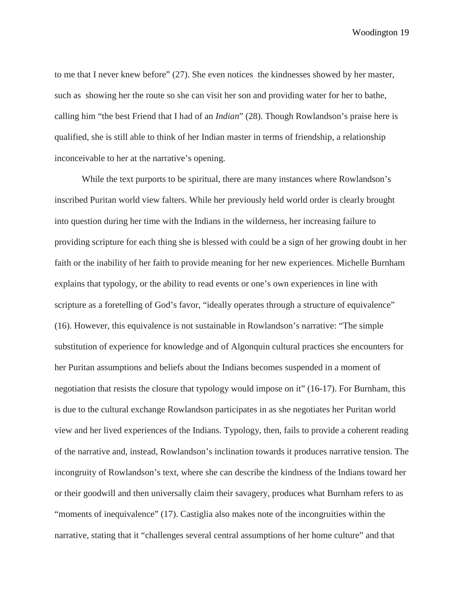to me that I never knew before" (27). She even notices the kindnesses showed by her master, such as showing her the route so she can visit her son and providing water for her to bathe, calling him "the best Friend that I had of an *Indian*" (28). Though Rowlandson's praise here is qualified, she is still able to think of her Indian master in terms of friendship, a relationship inconceivable to her at the narrative's opening.

While the text purports to be spiritual, there are many instances where Rowlandson's inscribed Puritan world view falters. While her previously held world order is clearly brought into question during her time with the Indians in the wilderness, her increasing failure to providing scripture for each thing she is blessed with could be a sign of her growing doubt in her faith or the inability of her faith to provide meaning for her new experiences. Michelle Burnham explains that typology, or the ability to read events or one's own experiences in line with scripture as a foretelling of God's favor, "ideally operates through a structure of equivalence" (16). However, this equivalence is not sustainable in Rowlandson's narrative: "The simple substitution of experience for knowledge and of Algonquin cultural practices she encounters for her Puritan assumptions and beliefs about the Indians becomes suspended in a moment of negotiation that resists the closure that typology would impose on it" (16-17). For Burnham, this is due to the cultural exchange Rowlandson participates in as she negotiates her Puritan world view and her lived experiences of the Indians. Typology, then, fails to provide a coherent reading of the narrative and, instead, Rowlandson's inclination towards it produces narrative tension. The incongruity of Rowlandson's text, where she can describe the kindness of the Indians toward her or their goodwill and then universally claim their savagery, produces what Burnham refers to as "moments of inequivalence" (17). Castiglia also makes note of the incongruities within the narrative, stating that it "challenges several central assumptions of her home culture" and that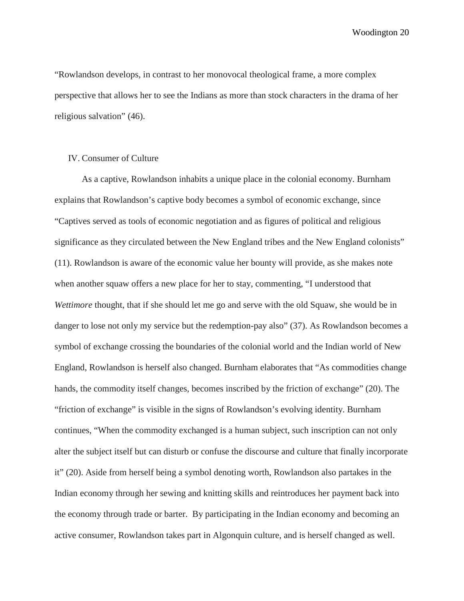"Rowlandson develops, in contrast to her monovocal theological frame, a more complex perspective that allows her to see the Indians as more than stock characters in the drama of her religious salvation" (46).

## IV. Consumer of Culture

As a captive, Rowlandson inhabits a unique place in the colonial economy. Burnham explains that Rowlandson's captive body becomes a symbol of economic exchange, since "Captives served as tools of economic negotiation and as figures of political and religious significance as they circulated between the New England tribes and the New England colonists" (11). Rowlandson is aware of the economic value her bounty will provide, as she makes note when another squaw offers a new place for her to stay, commenting, "I understood that *Wettimore* thought, that if she should let me go and serve with the old Squaw, she would be in danger to lose not only my service but the redemption-pay also" (37). As Rowlandson becomes a symbol of exchange crossing the boundaries of the colonial world and the Indian world of New England, Rowlandson is herself also changed. Burnham elaborates that "As commodities change hands, the commodity itself changes, becomes inscribed by the friction of exchange" (20). The "friction of exchange" is visible in the signs of Rowlandson's evolving identity. Burnham continues, "When the commodity exchanged is a human subject, such inscription can not only alter the subject itself but can disturb or confuse the discourse and culture that finally incorporate it" (20). Aside from herself being a symbol denoting worth, Rowlandson also partakes in the Indian economy through her sewing and knitting skills and reintroduces her payment back into the economy through trade or barter. By participating in the Indian economy and becoming an active consumer, Rowlandson takes part in Algonquin culture, and is herself changed as well.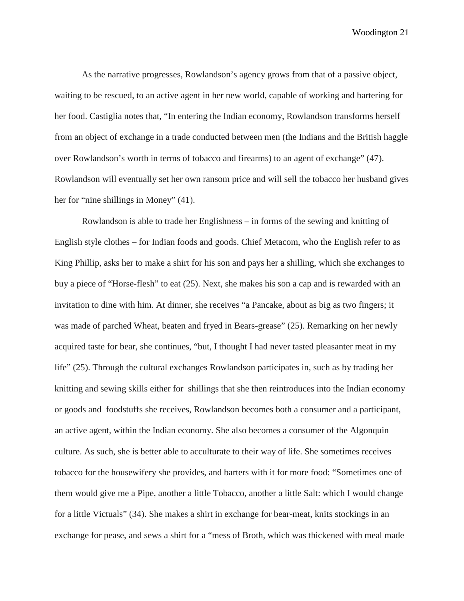As the narrative progresses, Rowlandson's agency grows from that of a passive object, waiting to be rescued, to an active agent in her new world, capable of working and bartering for her food. Castiglia notes that, "In entering the Indian economy, Rowlandson transforms herself from an object of exchange in a trade conducted between men (the Indians and the British haggle over Rowlandson's worth in terms of tobacco and firearms) to an agent of exchange" (47). Rowlandson will eventually set her own ransom price and will sell the tobacco her husband gives her for "nine shillings in Money" (41).

Rowlandson is able to trade her Englishness – in forms of the sewing and knitting of English style clothes – for Indian foods and goods. Chief Metacom, who the English refer to as King Phillip, asks her to make a shirt for his son and pays her a shilling, which she exchanges to buy a piece of "Horse-flesh" to eat (25). Next, she makes his son a cap and is rewarded with an invitation to dine with him. At dinner, she receives "a Pancake, about as big as two fingers; it was made of parched Wheat, beaten and fryed in Bears-grease" (25). Remarking on her newly acquired taste for bear, she continues, "but, I thought I had never tasted pleasanter meat in my life" (25). Through the cultural exchanges Rowlandson participates in, such as by trading her knitting and sewing skills either for shillings that she then reintroduces into the Indian economy or goods and foodstuffs she receives, Rowlandson becomes both a consumer and a participant, an active agent, within the Indian economy. She also becomes a consumer of the Algonquin culture. As such, she is better able to acculturate to their way of life. She sometimes receives tobacco for the housewifery she provides, and barters with it for more food: "Sometimes one of them would give me a Pipe, another a little Tobacco, another a little Salt: which I would change for a little Victuals" (34). She makes a shirt in exchange for bear-meat, knits stockings in an exchange for pease, and sews a shirt for a "mess of Broth, which was thickened with meal made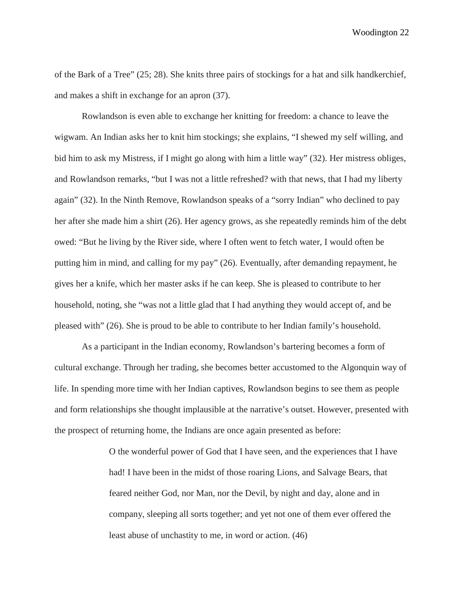of the Bark of a Tree" (25; 28). She knits three pairs of stockings for a hat and silk handkerchief, and makes a shift in exchange for an apron (37).

Rowlandson is even able to exchange her knitting for freedom: a chance to leave the wigwam. An Indian asks her to knit him stockings; she explains, "I shewed my self willing, and bid him to ask my Mistress, if I might go along with him a little way" (32). Her mistress obliges, and Rowlandson remarks, "but I was not a little refreshed? with that news, that I had my liberty again" (32). In the Ninth Remove, Rowlandson speaks of a "sorry Indian" who declined to pay her after she made him a shirt (26). Her agency grows, as she repeatedly reminds him of the debt owed: "But he living by the River side, where I often went to fetch water, I would often be putting him in mind, and calling for my pay" (26). Eventually, after demanding repayment, he gives her a knife, which her master asks if he can keep. She is pleased to contribute to her household, noting, she "was not a little glad that I had anything they would accept of, and be pleased with" (26). She is proud to be able to contribute to her Indian family's household.

As a participant in the Indian economy, Rowlandson's bartering becomes a form of cultural exchange. Through her trading, she becomes better accustomed to the Algonquin way of life. In spending more time with her Indian captives, Rowlandson begins to see them as people and form relationships she thought implausible at the narrative's outset. However, presented with the prospect of returning home, the Indians are once again presented as before:

> O the wonderful power of God that I have seen, and the experiences that I have had! I have been in the midst of those roaring Lions, and Salvage Bears, that feared neither God, nor Man, nor the Devil, by night and day, alone and in company, sleeping all sorts together; and yet not one of them ever offered the least abuse of unchastity to me, in word or action. (46)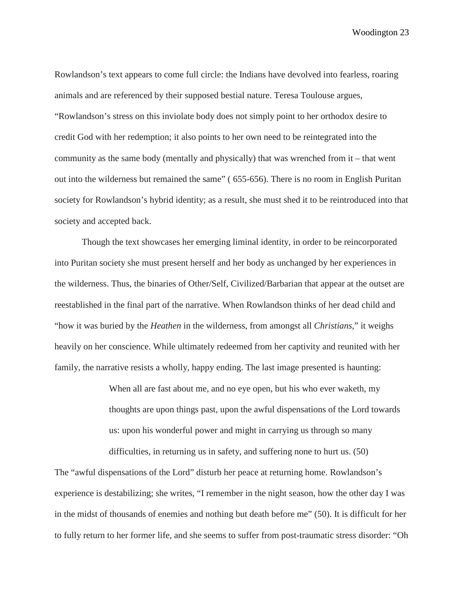Rowlandson's text appears to come full circle: the Indians have devolved into fearless, roaring animals and are referenced by their supposed bestial nature. Teresa Toulouse argues, "Rowlandson's stress on this inviolate body does not simply point to her orthodox desire to credit God with her redemption; it also points to her own need to be reintegrated into the community as the same body (mentally and physically) that was wrenched from it – that went out into the wilderness but remained the same" ( 655-656). There is no room in English Puritan society for Rowlandson's hybrid identity; as a result, she must shed it to be reintroduced into that society and accepted back.

Though the text showcases her emerging liminal identity, in order to be reincorporated into Puritan society she must present herself and her body as unchanged by her experiences in the wilderness. Thus, the binaries of Other/Self, Civilized/Barbarian that appear at the outset are reestablished in the final part of the narrative. When Rowlandson thinks of her dead child and "how it was buried by the *Heathen* in the wilderness, from amongst all *Christians*," it weighs heavily on her conscience. While ultimately redeemed from her captivity and reunited with her family, the narrative resists a wholly, happy ending. The last image presented is haunting:

> When all are fast about me, and no eye open, but his who ever waketh, my thoughts are upon things past, upon the awful dispensations of the Lord towards us: upon his wonderful power and might in carrying us through so many

The "awful dispensations of the Lord" disturb her peace at returning home. Rowlandson's experience is destabilizing; she writes, "I remember in the night season, how the other day I was in the midst of thousands of enemies and nothing but death before me" (50). It is difficult for her to fully return to her former life, and she seems to suffer from post-traumatic stress disorder: "Oh

difficulties, in returning us in safety, and suffering none to hurt us. (50)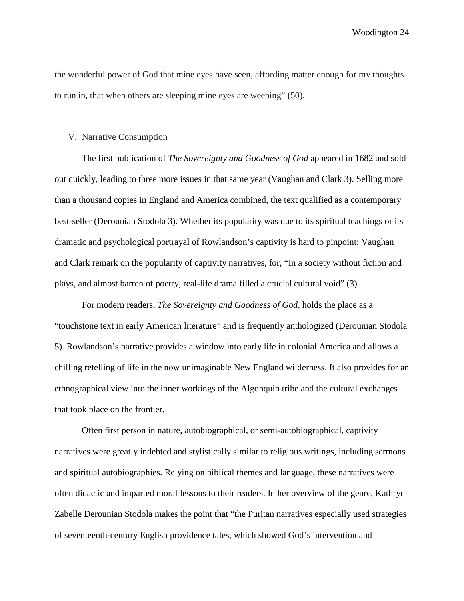the wonderful power of God that mine eyes have seen, affording matter enough for my thoughts to run in, that when others are sleeping mine eyes are weeping" (50).

#### V. Narrative Consumption

The first publication of *The Sovereignty and Goodness of God* appeared in 1682 and sold out quickly, leading to three more issues in that same year (Vaughan and Clark 3). Selling more than a thousand copies in England and America combined, the text qualified as a contemporary best-seller (Derounian Stodola 3). Whether its popularity was due to its spiritual teachings or its dramatic and psychological portrayal of Rowlandson's captivity is hard to pinpoint; Vaughan and Clark remark on the popularity of captivity narratives, for, "In a society without fiction and plays, and almost barren of poetry, real-life drama filled a crucial cultural void" (3).

For modern readers, *The Sovereignty and Goodness of God,* holds the place as a "touchstone text in early American literature" and is frequently anthologized (Derounian Stodola 5). Rowlandson's narrative provides a window into early life in colonial America and allows a chilling retelling of life in the now unimaginable New England wilderness. It also provides for an ethnographical view into the inner workings of the Algonquin tribe and the cultural exchanges that took place on the frontier.

Often first person in nature, autobiographical, or semi-autobiographical, captivity narratives were greatly indebted and stylistically similar to religious writings, including sermons and spiritual autobiographies. Relying on biblical themes and language, these narratives were often didactic and imparted moral lessons to their readers. In her overview of the genre, Kathryn Zabelle Derounian Stodola makes the point that "the Puritan narratives especially used strategies of seventeenth-century English providence tales, which showed God's intervention and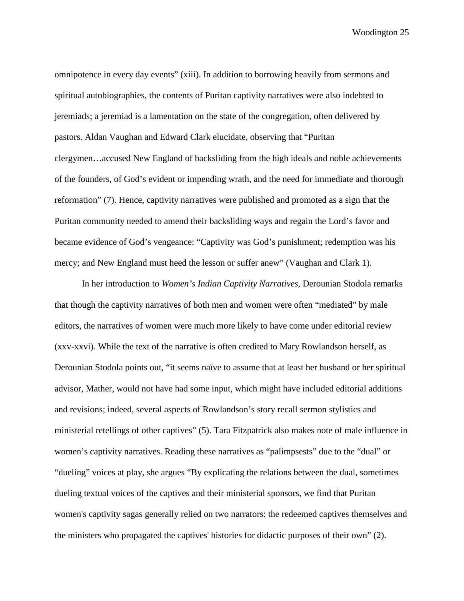omnipotence in every day events" (xiii). In addition to borrowing heavily from sermons and spiritual autobiographies, the contents of Puritan captivity narratives were also indebted to jeremiads; a jeremiad is a lamentation on the state of the congregation, often delivered by pastors. Aldan Vaughan and Edward Clark elucidate, observing that "Puritan clergymen…accused New England of backsliding from the high ideals and noble achievements of the founders, of God's evident or impending wrath, and the need for immediate and thorough reformation" (7). Hence, captivity narratives were published and promoted as a sign that the Puritan community needed to amend their backsliding ways and regain the Lord's favor and became evidence of God's vengeance: "Captivity was God's punishment; redemption was his mercy; and New England must heed the lesson or suffer anew" (Vaughan and Clark 1).

In her introduction to *Women's Indian Captivity Narratives,* Derounian Stodola remarks that though the captivity narratives of both men and women were often "mediated" by male editors, the narratives of women were much more likely to have come under editorial review (xxv-xxvi). While the text of the narrative is often credited to Mary Rowlandson herself, as Derounian Stodola points out, "it seems naïve to assume that at least her husband or her spiritual advisor, Mather, would not have had some input, which might have included editorial additions and revisions; indeed, several aspects of Rowlandson's story recall sermon stylistics and ministerial retellings of other captives" (5). Tara Fitzpatrick also makes note of male influence in women's captivity narratives. Reading these narratives as "palimpsests" due to the "dual" or "dueling" voices at play, she argues "By explicating the relations between the dual, sometimes dueling textual voices of the captives and their ministerial sponsors, we find that Puritan women's captivity sagas generally relied on two narrators: the redeemed captives themselves and the ministers who propagated the captives' histories for didactic purposes of their own" (2).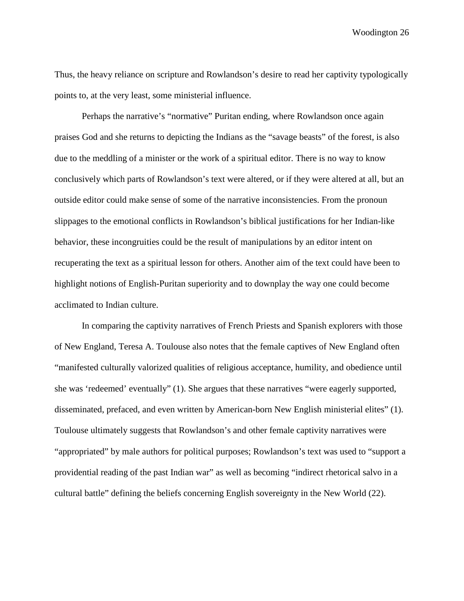Thus, the heavy reliance on scripture and Rowlandson's desire to read her captivity typologically points to, at the very least, some ministerial influence.

Perhaps the narrative's "normative" Puritan ending, where Rowlandson once again praises God and she returns to depicting the Indians as the "savage beasts" of the forest, is also due to the meddling of a minister or the work of a spiritual editor. There is no way to know conclusively which parts of Rowlandson's text were altered, or if they were altered at all, but an outside editor could make sense of some of the narrative inconsistencies. From the pronoun slippages to the emotional conflicts in Rowlandson's biblical justifications for her Indian-like behavior, these incongruities could be the result of manipulations by an editor intent on recuperating the text as a spiritual lesson for others. Another aim of the text could have been to highlight notions of English-Puritan superiority and to downplay the way one could become acclimated to Indian culture.

In comparing the captivity narratives of French Priests and Spanish explorers with those of New England, Teresa A. Toulouse also notes that the female captives of New England often "manifested culturally valorized qualities of religious acceptance, humility, and obedience until she was 'redeemed' eventually" (1). She argues that these narratives "were eagerly supported, disseminated, prefaced, and even written by American-born New English ministerial elites" (1). Toulouse ultimately suggests that Rowlandson's and other female captivity narratives were "appropriated" by male authors for political purposes; Rowlandson's text was used to "support a providential reading of the past Indian war" as well as becoming "indirect rhetorical salvo in a cultural battle" defining the beliefs concerning English sovereignty in the New World (22).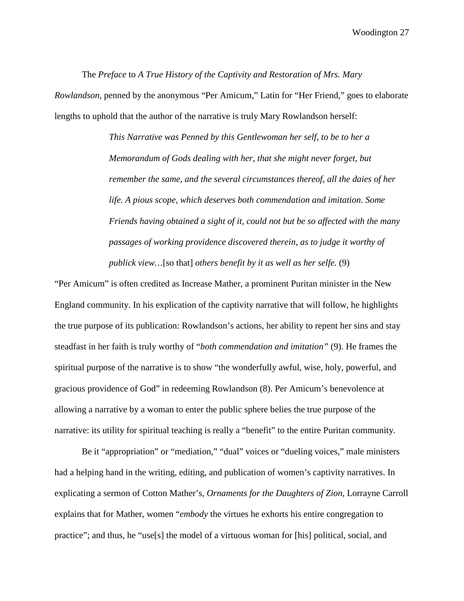The *Preface* to *A True History of the Captivity and Restoration of Mrs. Mary Rowlandson*, penned by the anonymous "Per Amicum," Latin for "Her Friend," goes to elaborate lengths to uphold that the author of the narrative is truly Mary Rowlandson herself:

> *This Narrative was Penned by this Gentlewoman her self, to be to her a Memorandum of Gods dealing with her, that she might never forget, but remember the same, and the several circumstances thereof, all the daies of her life. A pious scope, which deserves both commendation and imitation. Some Friends having obtained a sight of it, could not but be so affected with the many passages of working providence discovered therein, as to judge it worthy of publick view…*[so that] *others benefit by it as well as her selfe.* (9)

"Per Amicum" is often credited as Increase Mather, a prominent Puritan minister in the New England community. In his explication of the captivity narrative that will follow, he highlights the true purpose of its publication: Rowlandson's actions, her ability to repent her sins and stay steadfast in her faith is truly worthy of "*both commendation and imitation"* (9). He frames the spiritual purpose of the narrative is to show "the wonderfully awful, wise, holy, powerful, and gracious providence of God" in redeeming Rowlandson (8). Per Amicum's benevolence at allowing a narrative by a woman to enter the public sphere belies the true purpose of the narrative: its utility for spiritual teaching is really a "benefit" to the entire Puritan community.

Be it "appropriation" or "mediation," "dual" voices or "dueling voices," male ministers had a helping hand in the writing, editing, and publication of women's captivity narratives. In explicating a sermon of Cotton Mather's, *Ornaments for the Daughters of Zion,* Lorrayne Carroll explains that for Mather, women "*embody* the virtues he exhorts his entire congregation to practice"; and thus, he "use[s] the model of a virtuous woman for [his] political, social, and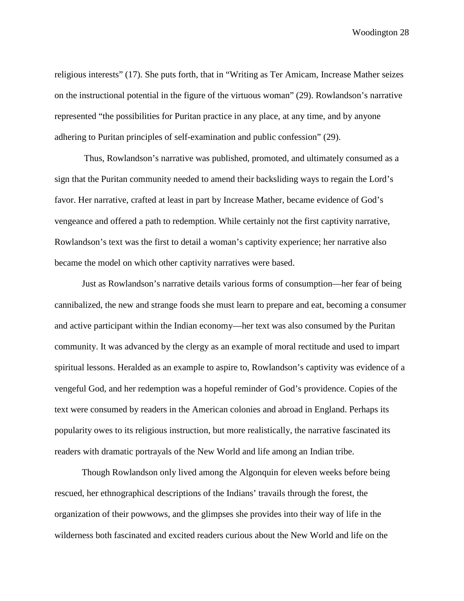religious interests" (17). She puts forth, that in "Writing as Ter Amicam, Increase Mather seizes on the instructional potential in the figure of the virtuous woman" (29). Rowlandson's narrative represented "the possibilities for Puritan practice in any place, at any time, and by anyone adhering to Puritan principles of self-examination and public confession" (29).

Thus, Rowlandson's narrative was published, promoted, and ultimately consumed as a sign that the Puritan community needed to amend their backsliding ways to regain the Lord's favor. Her narrative, crafted at least in part by Increase Mather, became evidence of God's vengeance and offered a path to redemption. While certainly not the first captivity narrative, Rowlandson's text was the first to detail a woman's captivity experience; her narrative also became the model on which other captivity narratives were based.

Just as Rowlandson's narrative details various forms of consumption—her fear of being cannibalized, the new and strange foods she must learn to prepare and eat, becoming a consumer and active participant within the Indian economy—her text was also consumed by the Puritan community. It was advanced by the clergy as an example of moral rectitude and used to impart spiritual lessons. Heralded as an example to aspire to, Rowlandson's captivity was evidence of a vengeful God, and her redemption was a hopeful reminder of God's providence. Copies of the text were consumed by readers in the American colonies and abroad in England. Perhaps its popularity owes to its religious instruction, but more realistically, the narrative fascinated its readers with dramatic portrayals of the New World and life among an Indian tribe.

Though Rowlandson only lived among the Algonquin for eleven weeks before being rescued, her ethnographical descriptions of the Indians' travails through the forest, the organization of their powwows, and the glimpses she provides into their way of life in the wilderness both fascinated and excited readers curious about the New World and life on the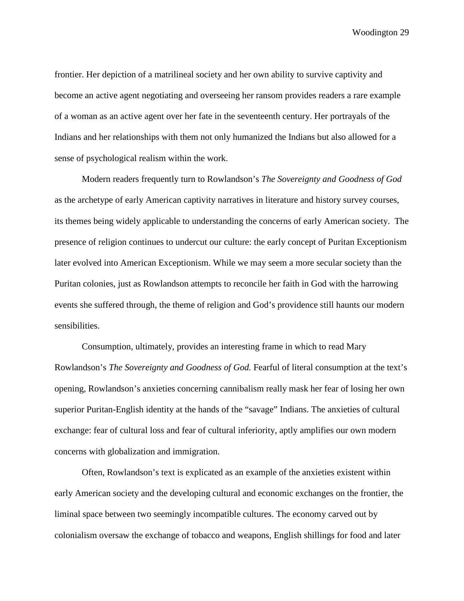frontier. Her depiction of a matrilineal society and her own ability to survive captivity and become an active agent negotiating and overseeing her ransom provides readers a rare example of a woman as an active agent over her fate in the seventeenth century. Her portrayals of the Indians and her relationships with them not only humanized the Indians but also allowed for a sense of psychological realism within the work.

Modern readers frequently turn to Rowlandson's *The Sovereignty and Goodness of God* as the archetype of early American captivity narratives in literature and history survey courses, its themes being widely applicable to understanding the concerns of early American society. The presence of religion continues to undercut our culture: the early concept of Puritan Exceptionism later evolved into American Exceptionism. While we may seem a more secular society than the Puritan colonies, just as Rowlandson attempts to reconcile her faith in God with the harrowing events she suffered through, the theme of religion and God's providence still haunts our modern sensibilities.

Consumption, ultimately, provides an interesting frame in which to read Mary Rowlandson's *The Sovereignty and Goodness of God.* Fearful of literal consumption at the text's opening, Rowlandson's anxieties concerning cannibalism really mask her fear of losing her own superior Puritan-English identity at the hands of the "savage" Indians. The anxieties of cultural exchange: fear of cultural loss and fear of cultural inferiority, aptly amplifies our own modern concerns with globalization and immigration.

Often, Rowlandson's text is explicated as an example of the anxieties existent within early American society and the developing cultural and economic exchanges on the frontier, the liminal space between two seemingly incompatible cultures. The economy carved out by colonialism oversaw the exchange of tobacco and weapons, English shillings for food and later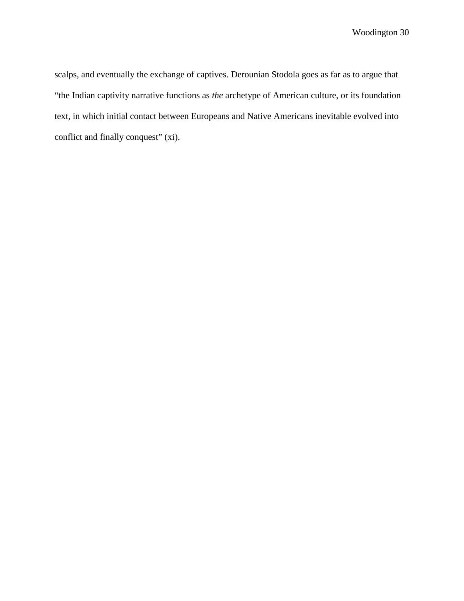scalps, and eventually the exchange of captives. Derounian Stodola goes as far as to argue that "the Indian captivity narrative functions as *the* archetype of American culture, or its foundation text, in which initial contact between Europeans and Native Americans inevitable evolved into conflict and finally conquest" (xi).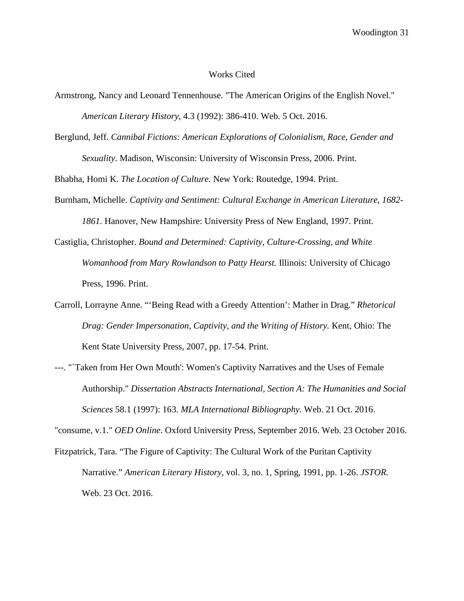#### Works Cited

- Armstrong, Nancy and Leonard Tennenhouse. "The American Origins of the English Novel." *American Literary History,* 4.3 (1992): 386-410. Web. 5 Oct. 2016.
- Berglund, Jeff. *Cannibal Fictions: American Explorations of Colonialism, Race, Gender and Sexuality*. Madison, Wisconsin: University of Wisconsin Press, 2006. Print.

Bhabha, Homi K. *The Location of Culture.* New York: Routedge, 1994. Print.

- Burnham, Michelle. *Captivity and Sentiment: Cultural Exchange in American Literature, 1682- 1861.* Hanover, New Hampshire: University Press of New England, 1997. Print.
- Castiglia, Christopher. *Bound and Determined: Captivity, Culture-Crossing, and White Womanhood from Mary Rowlandson to Patty Hearst.* Illinois: University of Chicago Press, 1996. Print.
- Carroll, Lorrayne Anne. "'Being Read with a Greedy Attention': Mather in Drag." *Rhetorical Drag: Gender Impersonation, Captivity, and the Writing of History.* Kent, Ohio: The Kent State University Press, 2007, pp. 17-54. Print.
- ---. "`Taken from Her Own Mouth': Women's Captivity Narratives and the Uses of Female Authorship." *Dissertation Abstracts International, Section A: The Humanities and Social Sciences* 58.1 (1997): 163. *MLA International Bibliography.* Web. 21 Oct. 2016.

"consume, v.1." *OED Online*. Oxford University Press, September 2016. Web. 23 October 2016.

Fitzpatrick, Tara. "The Figure of Captivity: The Cultural Work of the Puritan Captivity Narrative." *American Literary History*, vol. 3, no. 1, Spring, 1991, pp. 1-26. *JSTOR.*  Web. 23 Oct. 2016.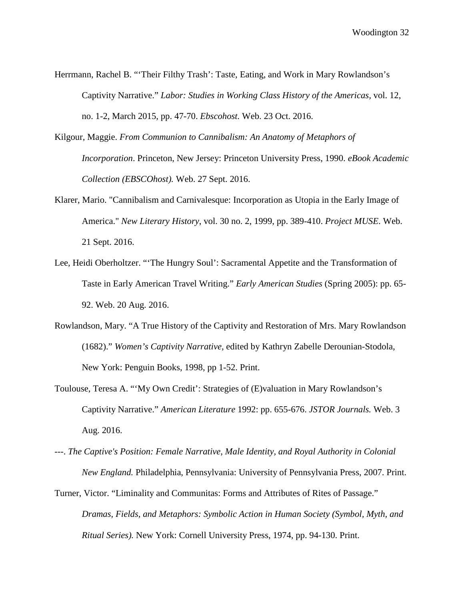- Herrmann, Rachel B. "'Their Filthy Trash': Taste, Eating, and Work in Mary Rowlandson's Captivity Narrative." *Labor: Studies in Working Class History of the Americas,* vol. 12, no. 1-2, March 2015, pp. 47-70. *Ebscohost.* Web. 23 Oct. 2016.
- Kilgour, Maggie. *From Communion to Cannibalism: An Anatomy of Metaphors of Incorporation*. Princeton, New Jersey: Princeton University Press, 1990. *eBook Academic Collection (EBSCOhost).* Web. 27 Sept. 2016.
- Klarer, Mario. "Cannibalism and Carnivalesque: Incorporation as Utopia in the Early Image of America." *New Literary History*, vol. 30 no. 2, 1999, pp. 389-410. *Project MUSE*. Web. 21 Sept. 2016.
- Lee, Heidi Oberholtzer. "'The Hungry Soul': Sacramental Appetite and the Transformation of Taste in Early American Travel Writing." *Early American Studies* (Spring 2005): pp. 65- 92. Web. 20 Aug. 2016.
- Rowlandson, Mary. "A True History of the Captivity and Restoration of Mrs. Mary Rowlandson (1682)." *Women's Captivity Narrative,* edited by Kathryn Zabelle Derounian-Stodola, New York: Penguin Books, 1998, pp 1-52. Print.
- Toulouse, Teresa A. "'My Own Credit': Strategies of (E)valuation in Mary Rowlandson's Captivity Narrative." *American Literature* 1992: pp. 655-676. *JSTOR Journals.* Web. 3 Aug. 2016.
- ---. *The Captive's Position: Female Narrative, Male Identity, and Royal Authority in Colonial New England.* Philadelphia, Pennsylvania: University of Pennsylvania Press, 2007. Print.
- Turner, Victor. "Liminality and Communitas: Forms and Attributes of Rites of Passage." *Dramas, Fields, and Metaphors: Symbolic Action in Human Society (Symbol, Myth, and Ritual Series).* New York: Cornell University Press, 1974, pp. 94-130. Print.